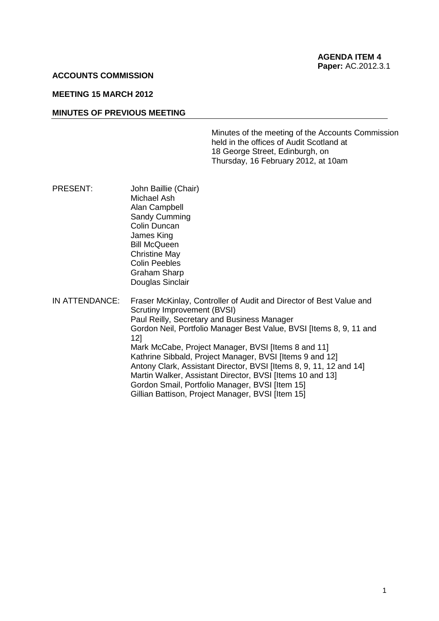### **ACCOUNTS COMMISSION**

### **MEETING 15 MARCH 2012**

### **MINUTES OF PREVIOUS MEETING**

Minutes of the meeting of the Accounts Commission held in the offices of Audit Scotland at 18 George Street, Edinburgh, on Thursday, 16 February 2012, at 10am

PRESENT: John Baillie (Chair) Michael Ash Alan Campbell Sandy Cumming Colin Duncan James King Bill McQueen Christine May Colin Peebles Graham Sharp Douglas Sinclair IN ATTENDANCE: Fraser McKinlay, Controller of Audit and Director of Best Value and Scrutiny Improvement (BVSI) Paul Reilly, Secretary and Business Manager

Gordon Neil, Portfolio Manager Best Value, BVSI [Items 8, 9, 11 and 12] Mark McCabe, Project Manager, BVSI Iltems 8 and 111 Kathrine Sibbald, Project Manager, BVSI [Items 9 and 12] Antony Clark, Assistant Director, BVSI [Items 8, 9, 11, 12 and 14] Martin Walker, Assistant Director, BVSI [Items 10 and 13] Gordon Smail, Portfolio Manager, BVSI [Item 15] Gillian Battison, Project Manager, BVSI [Item 15]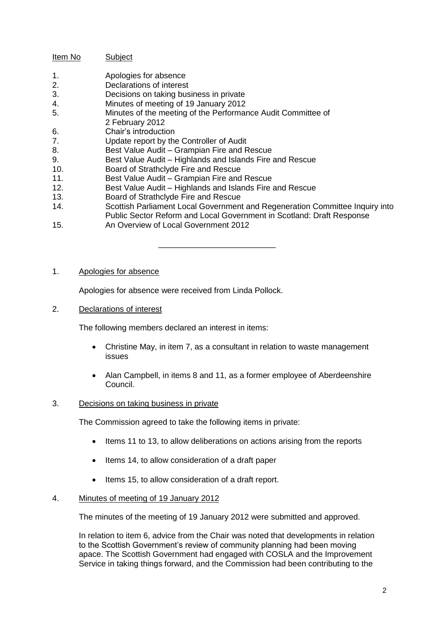# Item No Subject

- 1. Apologies for absence
- 2. Declarations of interest
- 3. Decisions on taking business in private
- 4. Minutes of meeting of 19 January 2012<br>5. Minutes of the meeting of the Performar
- Minutes of the meeting of the Performance Audit Committee of
- 2 February 2012
- 6. Chair's introduction
- 7. Update report by the Controller of Audit
- 8. Best Value Audit Grampian Fire and Rescue
- 9. Best Value Audit Highlands and Islands Fire and Rescue
- 10. Board of Strathclyde Fire and Rescue
- 11. Best Value Audit Grampian Fire and Rescue
- 12. Best Value Audit Highlands and Islands Fire and Rescue
- 13. Board of Strathclyde Fire and Rescue<br>14. Scottish Parliament Local Governmen
- Scottish Parliament Local Government and Regeneration Committee Inquiry into Public Sector Reform and Local Government in Scotland: Draft Response

\_\_\_\_\_\_\_\_\_\_\_\_\_\_\_\_\_\_\_\_\_\_\_\_\_\_

15. An Overview of Local Government 2012

# 1. Apologies for absence

Apologies for absence were received from Linda Pollock.

2. Declarations of interest

The following members declared an interest in items:

- Christine May, in item 7, as a consultant in relation to waste management issues
- Alan Campbell, in items 8 and 11, as a former employee of Aberdeenshire Council.

# 3. Decisions on taking business in private

The Commission agreed to take the following items in private:

- Items 11 to 13, to allow deliberations on actions arising from the reports
- Items 14, to allow consideration of a draft paper
- Items 15, to allow consideration of a draft report.

# 4. Minutes of meeting of 19 January 2012

The minutes of the meeting of 19 January 2012 were submitted and approved.

In relation to item 6, advice from the Chair was noted that developments in relation to the Scottish Government's review of community planning had been moving apace. The Scottish Government had engaged with COSLA and the Improvement Service in taking things forward, and the Commission had been contributing to the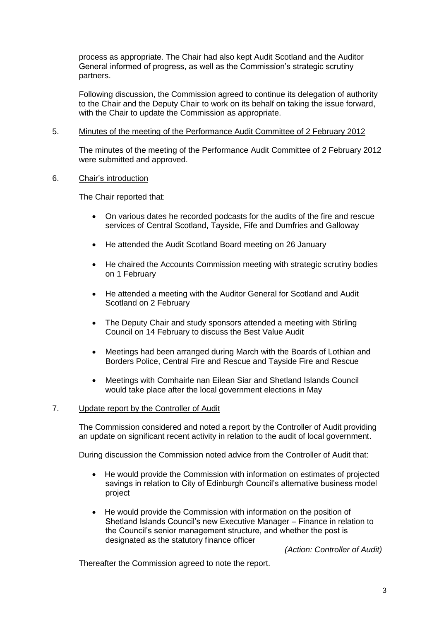process as appropriate. The Chair had also kept Audit Scotland and the Auditor General informed of progress, as well as the Commission's strategic scrutiny partners.

Following discussion, the Commission agreed to continue its delegation of authority to the Chair and the Deputy Chair to work on its behalf on taking the issue forward, with the Chair to update the Commission as appropriate.

### 5. Minutes of the meeting of the Performance Audit Committee of 2 February 2012

The minutes of the meeting of the Performance Audit Committee of 2 February 2012 were submitted and approved.

### 6. Chair's introduction

The Chair reported that:

- On various dates he recorded podcasts for the audits of the fire and rescue services of Central Scotland, Tayside, Fife and Dumfries and Galloway
- He attended the Audit Scotland Board meeting on 26 January
- He chaired the Accounts Commission meeting with strategic scrutiny bodies on 1 February
- He attended a meeting with the Auditor General for Scotland and Audit Scotland on 2 February
- The Deputy Chair and study sponsors attended a meeting with Stirling Council on 14 February to discuss the Best Value Audit
- Meetings had been arranged during March with the Boards of Lothian and Borders Police, Central Fire and Rescue and Tayside Fire and Rescue
- Meetings with Comhairle nan Eilean Siar and Shetland Islands Council would take place after the local government elections in May

# 7. Update report by the Controller of Audit

The Commission considered and noted a report by the Controller of Audit providing an update on significant recent activity in relation to the audit of local government.

During discussion the Commission noted advice from the Controller of Audit that:

- He would provide the Commission with information on estimates of projected savings in relation to City of Edinburgh Council's alternative business model project
- He would provide the Commission with information on the position of Shetland Islands Council's new Executive Manager – Finance in relation to the Council's senior management structure, and whether the post is designated as the statutory finance officer

*(Action: Controller of Audit)*

Thereafter the Commission agreed to note the report.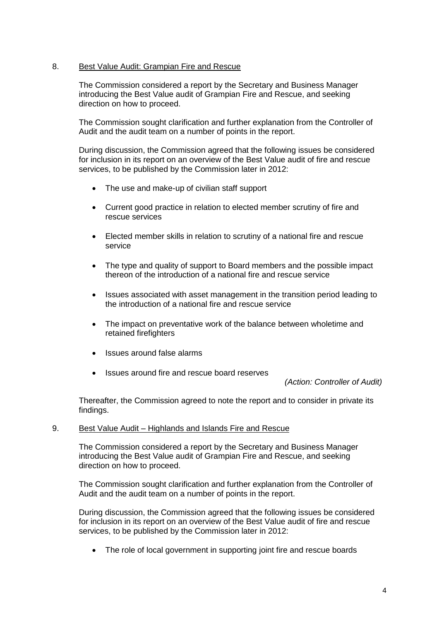# 8. Best Value Audit: Grampian Fire and Rescue

The Commission considered a report by the Secretary and Business Manager introducing the Best Value audit of Grampian Fire and Rescue, and seeking direction on how to proceed.

The Commission sought clarification and further explanation from the Controller of Audit and the audit team on a number of points in the report.

During discussion, the Commission agreed that the following issues be considered for inclusion in its report on an overview of the Best Value audit of fire and rescue services, to be published by the Commission later in 2012:

- The use and make-up of civilian staff support
- Current good practice in relation to elected member scrutiny of fire and rescue services
- Elected member skills in relation to scrutiny of a national fire and rescue service
- The type and quality of support to Board members and the possible impact thereon of the introduction of a national fire and rescue service
- Issues associated with asset management in the transition period leading to the introduction of a national fire and rescue service
- The impact on preventative work of the balance between wholetime and retained firefighters
- Issues around false alarms
- Issues around fire and rescue board reserves

*(Action: Controller of Audit)*

Thereafter, the Commission agreed to note the report and to consider in private its findings.

#### 9. Best Value Audit – Highlands and Islands Fire and Rescue

The Commission considered a report by the Secretary and Business Manager introducing the Best Value audit of Grampian Fire and Rescue, and seeking direction on how to proceed.

The Commission sought clarification and further explanation from the Controller of Audit and the audit team on a number of points in the report.

During discussion, the Commission agreed that the following issues be considered for inclusion in its report on an overview of the Best Value audit of fire and rescue services, to be published by the Commission later in 2012:

• The role of local government in supporting joint fire and rescue boards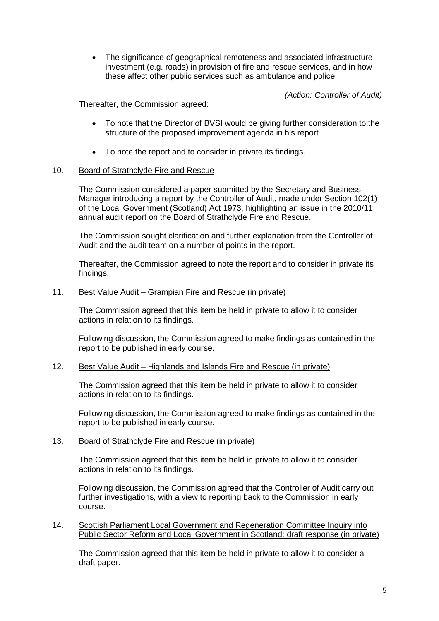The significance of geographical remoteness and associated infrastructure investment (e.g. roads) in provision of fire and rescue services, and in how these affect other public services such as ambulance and police

*(Action: Controller of Audit)*

Thereafter, the Commission agreed:

- To note that the Director of BVSI would be giving further consideration to:the structure of the proposed improvement agenda in his report
- To note the report and to consider in private its findings.

# 10. Board of Strathclyde Fire and Rescue

The Commission considered a paper submitted by the Secretary and Business Manager introducing a report by the Controller of Audit, made under Section 102(1) of the Local Government (Scotland) Act 1973, highlighting an issue in the 2010/11 annual audit report on the Board of Strathclyde Fire and Rescue.

The Commission sought clarification and further explanation from the Controller of Audit and the audit team on a number of points in the report.

Thereafter, the Commission agreed to note the report and to consider in private its findings.

### 11. Best Value Audit – Grampian Fire and Rescue (in private)

The Commission agreed that this item be held in private to allow it to consider actions in relation to its findings.

Following discussion, the Commission agreed to make findings as contained in the report to be published in early course.

#### 12. Best Value Audit – Highlands and Islands Fire and Rescue (in private)

The Commission agreed that this item be held in private to allow it to consider actions in relation to its findings.

Following discussion, the Commission agreed to make findings as contained in the report to be published in early course.

#### 13. Board of Strathclyde Fire and Rescue (in private)

The Commission agreed that this item be held in private to allow it to consider actions in relation to its findings.

Following discussion, the Commission agreed that the Controller of Audit carry out further investigations, with a view to reporting back to the Commission in early course.

14. Scottish Parliament Local Government and Regeneration Committee Inquiry into Public Sector Reform and Local Government in Scotland: draft response (in private)

The Commission agreed that this item be held in private to allow it to consider a draft paper.